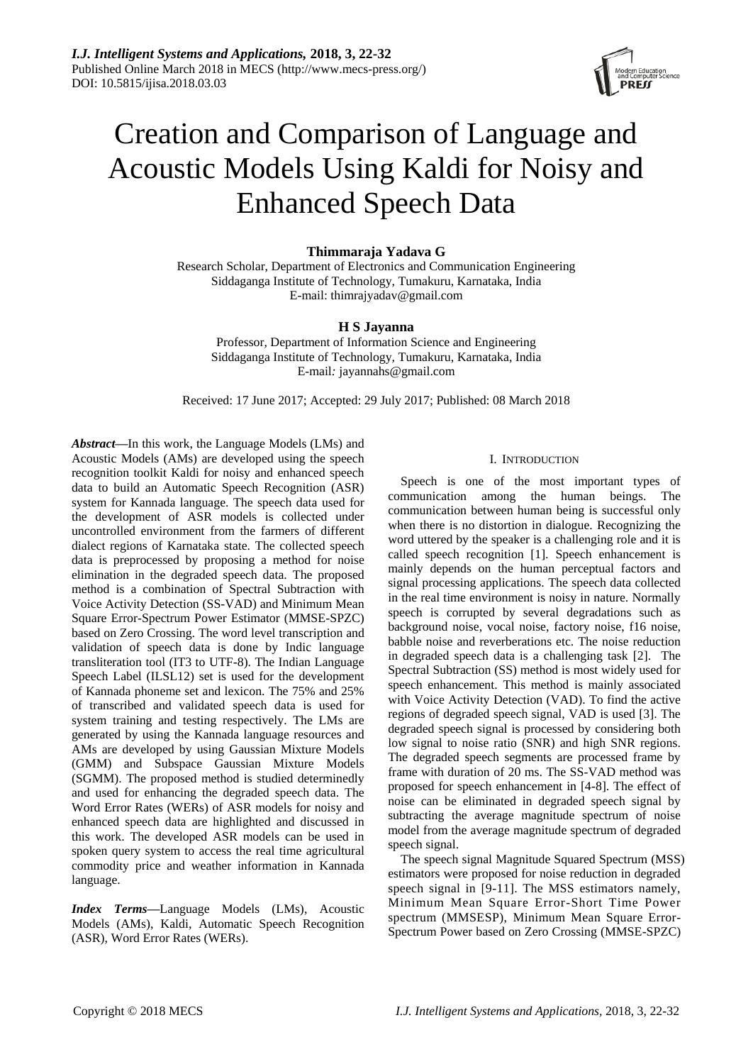

# Creation and Comparison of Language and Acoustic Models Using Kaldi for Noisy and Enhanced Speech Data

# **Thimmaraja Yadava G**

Research Scholar, Department of Electronics and Communication Engineering Siddaganga Institute of Technology, Tumakuru, Karnataka, India E-mail: thimrajyadav@gmail.com

# **H S Jayanna**

Professor, Department of Information Science and Engineering Siddaganga Institute of Technology, Tumakuru, Karnataka, India E-mail*:* jayannahs@gmail.com

Received: 17 June 2017; Accepted: 29 July 2017; Published: 08 March 2018

*Abstract***—**In this work, the Language Models (LMs) and Acoustic Models (AMs) are developed using the speech recognition toolkit Kaldi for noisy and enhanced speech data to build an Automatic Speech Recognition (ASR) system for Kannada language. The speech data used for the development of ASR models is collected under uncontrolled environment from the farmers of different dialect regions of Karnataka state. The collected speech data is preprocessed by proposing a method for noise elimination in the degraded speech data. The proposed method is a combination of Spectral Subtraction with Voice Activity Detection (SS-VAD) and Minimum Mean Square Error-Spectrum Power Estimator (MMSE-SPZC) based on Zero Crossing. The word level transcription and validation of speech data is done by Indic language transliteration tool (IT3 to UTF-8). The Indian Language Speech Label (ILSL12) set is used for the development of Kannada phoneme set and lexicon. The 75% and 25% of transcribed and validated speech data is used for system training and testing respectively. The LMs are generated by using the Kannada language resources and AMs are developed by using Gaussian Mixture Models (GMM) and Subspace Gaussian Mixture Models (SGMM). The proposed method is studied determinedly and used for enhancing the degraded speech data. The Word Error Rates (WERs) of ASR models for noisy and enhanced speech data are highlighted and discussed in this work. The developed ASR models can be used in spoken query system to access the real time agricultural commodity price and weather information in Kannada language.

*Index Terms***—**Language Models (LMs), Acoustic Models (AMs), Kaldi, Automatic Speech Recognition (ASR), Word Error Rates (WERs).

## I. INTRODUCTION

Speech is one of the most important types of communication among the human beings. The communication between human being is successful only when there is no distortion in dialogue. Recognizing the word uttered by the speaker is a challenging role and it is called speech recognition [1]. Speech enhancement is mainly depends on the human perceptual factors and signal processing applications. The speech data collected in the real time environment is noisy in nature. Normally speech is corrupted by several degradations such as background noise, vocal noise, factory noise, f16 noise, babble noise and reverberations etc. The noise reduction in degraded speech data is a challenging task [2]. The Spectral Subtraction (SS) method is most widely used for speech enhancement. This method is mainly associated with Voice Activity Detection (VAD). To find the active regions of degraded speech signal, VAD is used [3]. The degraded speech signal is processed by considering both low signal to noise ratio (SNR) and high SNR regions. The degraded speech segments are processed frame by frame with duration of 20 ms. The SS-VAD method was proposed for speech enhancement in [4-8]. The effect of noise can be eliminated in degraded speech signal by subtracting the average magnitude spectrum of noise model from the average magnitude spectrum of degraded speech signal.

The speech signal Magnitude Squared Spectrum (MSS) estimators were proposed for noise reduction in degraded speech signal in [9-11]. The MSS estimators namely, Minimum Mean Square Error-Short Time Power spectrum (MMSESP), Minimum Mean Square Error-Spectrum Power based on Zero Crossing (MMSE-SPZC)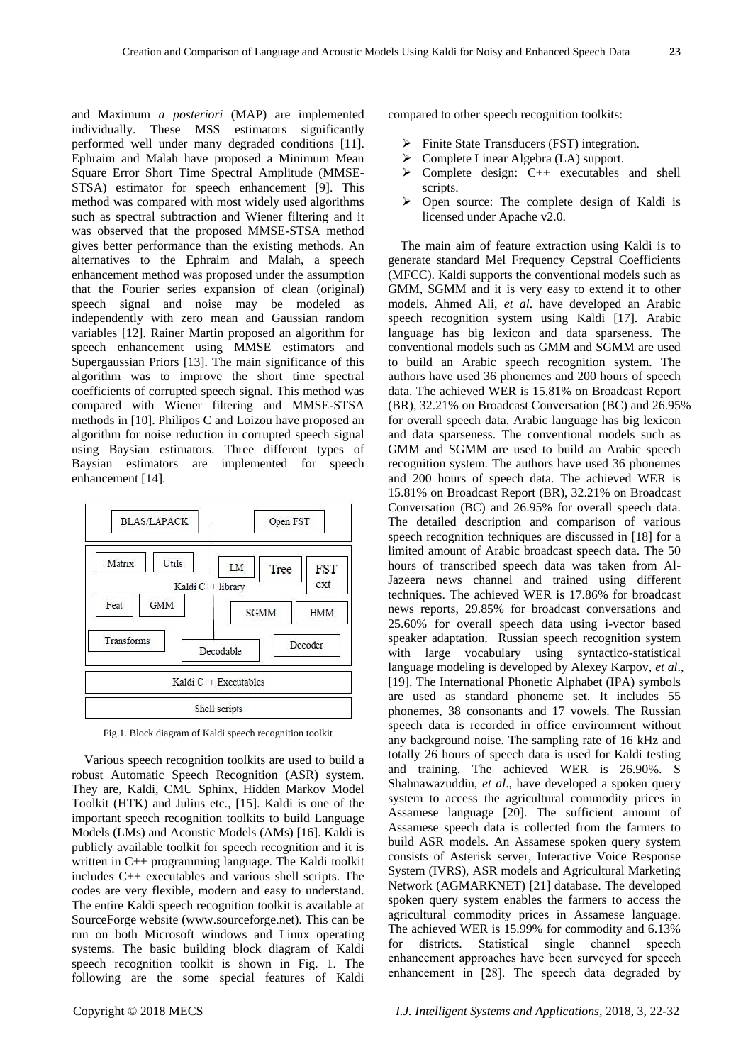and Maximum *a posteriori* (MAP) are implemented individually. These MSS estimators significantly performed well under many degraded conditions [11]. Ephraim and Malah have proposed a Minimum Mean Square Error Short Time Spectral Amplitude (MMSE-STSA) estimator for speech enhancement [9]. This method was compared with most widely used algorithms such as spectral subtraction and Wiener filtering and it was observed that the proposed MMSE-STSA method gives better performance than the existing methods. An alternatives to the Ephraim and Malah, a speech enhancement method was proposed under the assumption that the Fourier series expansion of clean (original) speech signal and noise may be modeled as independently with zero mean and Gaussian random variables [12]. Rainer Martin proposed an algorithm for speech enhancement using MMSE estimators and Supergaussian Priors [13]. The main significance of this algorithm was to improve the short time spectral coefficients of corrupted speech signal. This method was compared with Wiener filtering and MMSE-STSA methods in [10]. Philipos C and Loizou have proposed an



algorithm for noise reduction in corrupted speech signal using Baysian estimators. Three different types of Baysian estimators are implemented for speech

enhancement [14].

Fig.1. Block diagram of Kaldi speech recognition toolkit

Various speech recognition toolkits are used to build a robust Automatic Speech Recognition (ASR) system. They are, Kaldi, CMU Sphinx, Hidden Markov Model Toolkit (HTK) and Julius etc., [15]. Kaldi is one of the important speech recognition toolkits to build Language Models (LMs) and Acoustic Models (AMs) [16]. Kaldi is publicly available toolkit for speech recognition and it is written in C++ programming language. The Kaldi toolkit includes C++ executables and various shell scripts. The codes are very flexible, modern and easy to understand. The entire Kaldi speech recognition toolkit is available at SourceForge website (www.sourceforge.net). This can be run on both Microsoft windows and Linux operating systems. The basic building block diagram of Kaldi speech recognition toolkit is shown in Fig. 1. The following are the some special features of Kaldi

compared to other speech recognition toolkits:

- $\triangleright$  Finite State Transducers (FST) integration.
- Complete Linear Algebra (LA) support.
- $\triangleright$  Complete design: C++ executables and shell scripts.
- $\triangleright$  Open source: The complete design of Kaldi is licensed under Apache v2.0.

The main aim of feature extraction using Kaldi is to generate standard Mel Frequency Cepstral Coefficients (MFCC). Kaldi supports the conventional models such as GMM, SGMM and it is very easy to extend it to other models. Ahmed Ali, *et al*. have developed an Arabic speech recognition system using Kaldi [17]. Arabic language has big lexicon and data sparseness. The conventional models such as GMM and SGMM are used to build an Arabic speech recognition system. The authors have used 36 phonemes and 200 hours of speech data. The achieved WER is 15.81% on Broadcast Report (BR), 32.21% on Broadcast Conversation (BC) and 26.95% for overall speech data. Arabic language has big lexicon and data sparseness. The conventional models such as GMM and SGMM are used to build an Arabic speech recognition system. The authors have used 36 phonemes and 200 hours of speech data. The achieved WER is 15.81% on Broadcast Report (BR), 32.21% on Broadcast Conversation (BC) and 26.95% for overall speech data. The detailed description and comparison of various speech recognition techniques are discussed in [18] for a limited amount of Arabic broadcast speech data. The 50 hours of transcribed speech data was taken from Al-Jazeera news channel and trained using different techniques. The achieved WER is 17.86% for broadcast news reports, 29.85% for broadcast conversations and 25.60% for overall speech data using i-vector based speaker adaptation. Russian speech recognition system with large vocabulary using syntactico-statistical language modeling is developed by Alexey Karpov, *et al*., [19]. The International Phonetic Alphabet (IPA) symbols are used as standard phoneme set. It includes 55 phonemes, 38 consonants and 17 vowels. The Russian speech data is recorded in office environment without any background noise. The sampling rate of 16 kHz and totally 26 hours of speech data is used for Kaldi testing and training. The achieved WER is 26.90%. S Shahnawazuddin, *et al*., have developed a spoken query system to access the agricultural commodity prices in Assamese language [20]. The sufficient amount of Assamese speech data is collected from the farmers to build ASR models. An Assamese spoken query system consists of Asterisk server, Interactive Voice Response System (IVRS), ASR models and Agricultural Marketing Network (AGMARKNET) [21] database. The developed spoken query system enables the farmers to access the agricultural commodity prices in Assamese language. The achieved WER is 15.99% for commodity and 6.13% for districts. Statistical single channel speech enhancement approaches have been surveyed for speech enhancement in [28]. The speech data degraded by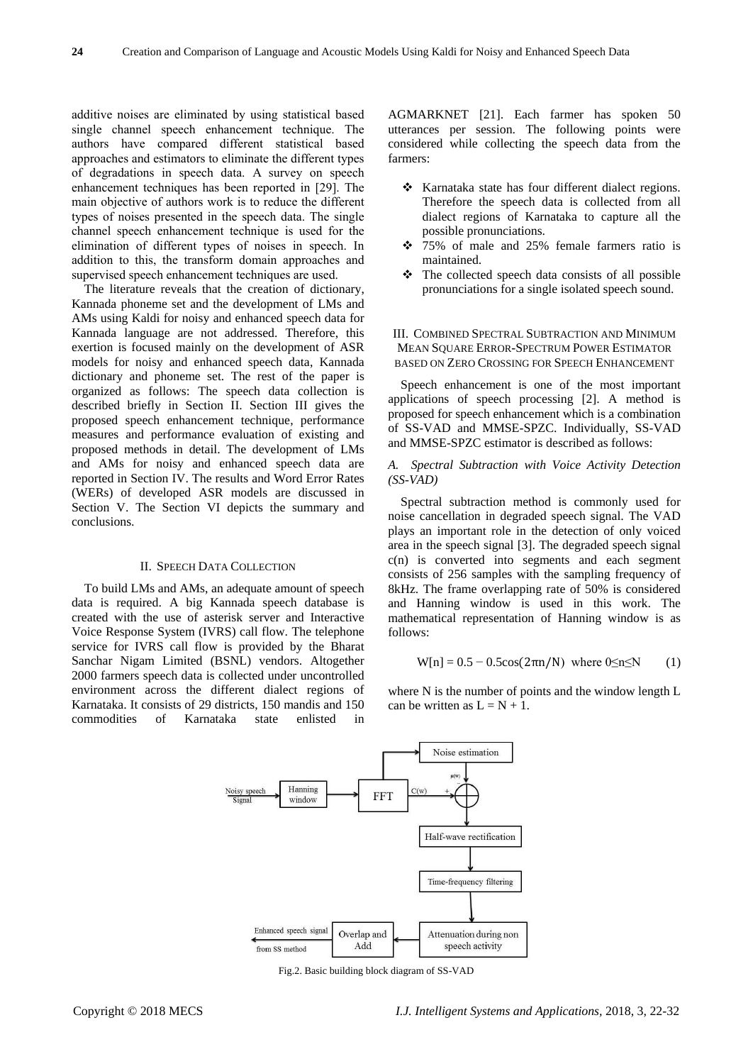additive noises are eliminated by using statistical based single channel speech enhancement technique. The authors have compared different statistical based approaches and estimators to eliminate the different types of degradations in speech data. A survey on speech enhancement techniques has been reported in [29]. The main objective of authors work is to reduce the different types of noises presented in the speech data. The single channel speech enhancement technique is used for the elimination of different types of noises in speech. In addition to this, the transform domain approaches and supervised speech enhancement techniques are used.

The literature reveals that the creation of dictionary, Kannada phoneme set and the development of LMs and AMs using Kaldi for noisy and enhanced speech data for Kannada language are not addressed. Therefore, this exertion is focused mainly on the development of ASR models for noisy and enhanced speech data, Kannada dictionary and phoneme set. The rest of the paper is organized as follows: The speech data collection is described briefly in Section II. Section III gives the proposed speech enhancement technique, performance measures and performance evaluation of existing and proposed methods in detail. The development of LMs and AMs for noisy and enhanced speech data are reported in Section IV. The results and Word Error Rates (WERs) of developed ASR models are discussed in Section V. The Section VI depicts the summary and conclusions.

#### II. SPEECH DATA COLLECTION

To build LMs and AMs, an adequate amount of speech data is required. A big Kannada speech database is created with the use of asterisk server and Interactive Voice Response System (IVRS) call flow. The telephone service for IVRS call flow is provided by the Bharat Sanchar Nigam Limited (BSNL) vendors. Altogether 2000 farmers speech data is collected under uncontrolled environment across the different dialect regions of Karnataka. It consists of 29 districts, 150 mandis and 150 commodities of Karnataka state enlisted in

AGMARKNET [21]. Each farmer has spoken 50 utterances per session. The following points were considered while collecting the speech data from the farmers:

- \* Karnataka state has four different dialect regions. Therefore the speech data is collected from all dialect regions of Karnataka to capture all the possible pronunciations.
- 75% of male and 25% female farmers ratio is maintained.
- $\triangle$  The collected speech data consists of all possible pronunciations for a single isolated speech sound.

## III. COMBINED SPECTRAL SUBTRACTION AND MINIMUM MEAN SQUARE ERROR-SPECTRUM POWER ESTIMATOR BASED ON ZERO CROSSING FOR SPEECH ENHANCEMENT

Speech enhancement is one of the most important applications of speech processing [2]. A method is proposed for speech enhancement which is a combination of SS-VAD and MMSE-SPZC. Individually, SS-VAD and MMSE-SPZC estimator is described as follows:

*A. Spectral Subtraction with Voice Activity Detection (SS-VAD)*

Spectral subtraction method is commonly used for noise cancellation in degraded speech signal. The VAD plays an important role in the detection of only voiced area in the speech signal [3]. The degraded speech signal  $c(n)$  is converted into segments and each segment consists of 256 samples with the sampling frequency of 8kHz. The frame overlapping rate of 50% is considered and Hanning window is used in this work. The mathematical representation of Hanning window is as follows:

$$
W[n] = 0.5 - 0.5\cos(2\pi n/N) \text{ where } 0 \le n \le N \qquad (1)
$$

where N is the number of points and the window length L can be written as  $L = N + 1$ .



Fig.2. Basic building block diagram of SS-VAD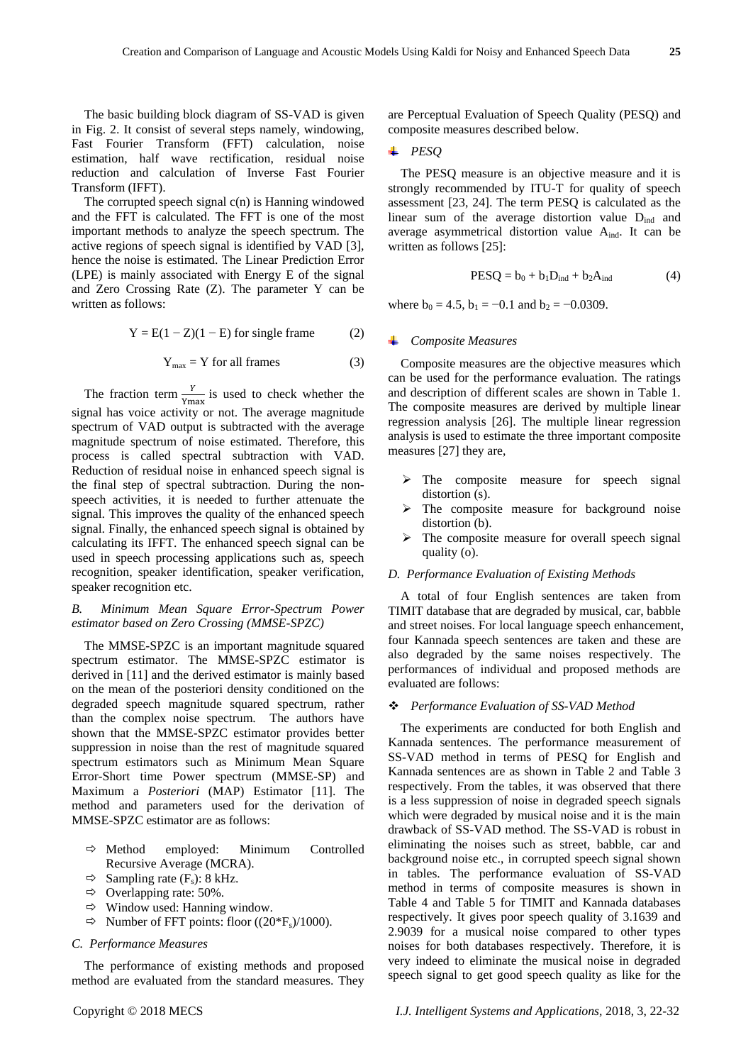The basic building block diagram of SS-VAD is given in Fig. 2. It consist of several steps namely, windowing, Fast Fourier Transform (FFT) calculation, noise estimation, half wave rectification, residual noise reduction and calculation of Inverse Fast Fourier Transform (IFFT).

The corrupted speech signal  $c(n)$  is Hanning windowed and the FFT is calculated. The FFT is one of the most important methods to analyze the speech spectrum. The active regions of speech signal is identified by VAD [3], hence the noise is estimated. The Linear Prediction Error (LPE) is mainly associated with Energy E of the signal and Zero Crossing Rate (Z). The parameter Y can be written as follows:

$$
Y = E(1 - Z)(1 - E)
$$
 for single frame (2)

$$
Y_{\text{max}} = Y \text{ for all frames} \tag{3}
$$

The fraction term  $\frac{1}{Y_{\text{max}}}$  is used to check whether the signal has voice activity or not. The average magnitude spectrum of VAD output is subtracted with the average magnitude spectrum of noise estimated. Therefore, this process is called spectral subtraction with VAD. Reduction of residual noise in enhanced speech signal is the final step of spectral subtraction. During the nonspeech activities, it is needed to further attenuate the signal. This improves the quality of the enhanced speech signal. Finally, the enhanced speech signal is obtained by calculating its IFFT. The enhanced speech signal can be used in speech processing applications such as, speech recognition, speaker identification, speaker verification, speaker recognition etc.

# *B. Minimum Mean Square Error-Spectrum Power estimator based on Zero Crossing (MMSE-SPZC)*

The MMSE-SPZC is an important magnitude squared spectrum estimator. The MMSE-SPZC estimator is derived in [11] and the derived estimator is mainly based on the mean of the posteriori density conditioned on the degraded speech magnitude squared spectrum, rather than the complex noise spectrum. The authors have shown that the MMSE-SPZC estimator provides better suppression in noise than the rest of magnitude squared spectrum estimators such as Minimum Mean Square Error-Short time Power spectrum (MMSE-SP) and Maximum a *Posteriori* (MAP) Estimator [11]. The method and parameters used for the derivation of MMSE-SPZC estimator are as follows:

- $\Rightarrow$  Method employed: Minimum Controlled Recursive Average (MCRA).
- $\Rightarrow$  Sampling rate (F<sub>s</sub>): 8 kHz.
- $\Rightarrow$  Overlapping rate: 50%.
- $\Rightarrow$  Window used: Hanning window.
- $\Rightarrow$  Number of FFT points: floor ((20\*Fs)/1000).

## *C. Performance Measures*

The performance of existing methods and proposed method are evaluated from the standard measures. They

are Perceptual Evaluation of Speech Quality (PESQ) and composite measures described below.

## *PESQ*

The PESQ measure is an objective measure and it is strongly recommended by ITU-T for quality of speech assessment [23, 24]. The term PESQ is calculated as the linear sum of the average distortion value  $D<sub>ind</sub>$  and average asymmetrical distortion value  $A_{ind}$ . It can be written as follows [25]:

$$
PESQ = b_0 + b_1 D_{ind} + b_2 A_{ind}
$$
 (4)

where  $b_0 = 4.5$ ,  $b_1 = -0.1$  and  $b_2 = -0.0309$ .

## *Composite Measures*

Composite measures are the objective measures which can be used for the performance evaluation. The ratings and description of different scales are shown in Table 1. The composite measures are derived by multiple linear regression analysis [26]. The multiple linear regression analysis is used to estimate the three important composite measures [27] they are,

- $\triangleright$  The composite measure for speech signal distortion (s).
- The composite measure for background noise distortion (b).
- The composite measure for overall speech signal quality (o).

## *D. Performance Evaluation of Existing Methods*

A total of four English sentences are taken from TIMIT database that are degraded by musical, car, babble and street noises. For local language speech enhancement, four Kannada speech sentences are taken and these are also degraded by the same noises respectively. The performances of individual and proposed methods are evaluated are follows:

### *Performance Evaluation of SS-VAD Method*

The experiments are conducted for both English and Kannada sentences. The performance measurement of SS-VAD method in terms of PESQ for English and Kannada sentences are as shown in Table 2 and Table 3 respectively. From the tables, it was observed that there is a less suppression of noise in degraded speech signals which were degraded by musical noise and it is the main drawback of SS-VAD method. The SS-VAD is robust in eliminating the noises such as street, babble, car and background noise etc., in corrupted speech signal shown in tables. The performance evaluation of SS-VAD method in terms of composite measures is shown in Table 4 and Table 5 for TIMIT and Kannada databases respectively. It gives poor speech quality of 3.1639 and 2.9039 for a musical noise compared to other types noises for both databases respectively. Therefore, it is very indeed to eliminate the musical noise in degraded speech signal to get good speech quality as like for the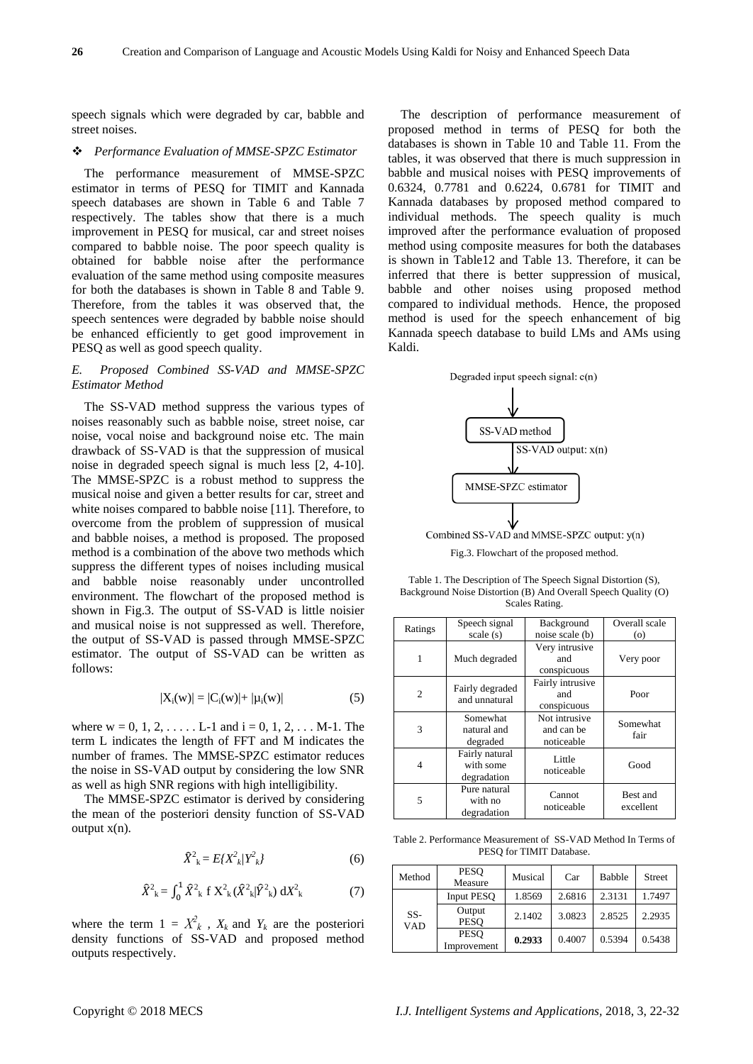speech signals which were degraded by car, babble and street noises.

#### *Performance Evaluation of MMSE-SPZC Estimator*

The performance measurement of MMSE-SPZC estimator in terms of PESQ for TIMIT and Kannada speech databases are shown in Table 6 and Table 7 respectively. The tables show that there is a much improvement in PESQ for musical, car and street noises compared to babble noise. The poor speech quality is obtained for babble noise after the performance evaluation of the same method using composite measures for both the databases is shown in Table 8 and Table 9. Therefore, from the tables it was observed that, the speech sentences were degraded by babble noise should be enhanced efficiently to get good improvement in PESQ as well as good speech quality.

# *E. Proposed Combined SS-VAD and MMSE-SPZC Estimator Method*

The SS-VAD method suppress the various types of noises reasonably such as babble noise, street noise, car noise, vocal noise and background noise etc. The main drawback of SS-VAD is that the suppression of musical noise in degraded speech signal is much less [2, 4-10]. The MMSE-SPZC is a robust method to suppress the musical noise and given a better results for car, street and white noises compared to babble noise [11]. Therefore, to overcome from the problem of suppression of musical and babble noises, a method is proposed. The proposed method is a combination of the above two methods which suppress the different types of noises including musical and babble noise reasonably under uncontrolled environment. The flowchart of the proposed method is shown in Fig.3. The output of SS-VAD is little noisier and musical noise is not suppressed as well. Therefore, the output of SS-VAD is passed through MMSE-SPZC estimator. The output of SS-VAD can be written as follows:

$$
|X_i(w)| = |C_i(w)| + |\mu_i(w)| \tag{5}
$$

where  $w = 0, 1, 2, \ldots$  L-1 and  $i = 0, 1, 2, \ldots$  M-1. The term L indicates the length of FFT and M indicates the number of frames. The MMSE-SPZC estimator reduces the noise in SS-VAD output by considering the low SNR as well as high SNR regions with high intelligibility.

The MMSE-SPZC estimator is derived by considering the mean of the posteriori density function of SS-VAD output  $x(n)$ .

$$
\widehat{X}^2_{\ k} = E\{X^2_{\ k}/Y^2_{\ k}\}\tag{6}
$$

$$
\hat{X}_{k}^{2} = \int_{0}^{1} \hat{X}_{k}^{2} f X_{k}^{2} (\hat{X}_{k}^{2} | \hat{Y}_{k}^{2}) dX_{k}^{2}
$$
 (7)

where the term  $1 = X^2_k$ ,  $X_k$  and  $Y_k$  are the posteriori density functions of SS-VAD and proposed method outputs respectively.

The description of performance measurement of proposed method in terms of PESQ for both the databases is shown in Table 10 and Table 11. From the tables, it was observed that there is much suppression in babble and musical noises with PESQ improvements of 0.6324, 0.7781 and 0.6224, 0.6781 for TIMIT and Kannada databases by proposed method compared to individual methods. The speech quality is much improved after the performance evaluation of proposed method using composite measures for both the databases is shown in Table12 and Table 13. Therefore, it can be inferred that there is better suppression of musical, babble and other noises using proposed method compared to individual methods. Hence, the proposed method is used for the speech enhancement of big Kannada speech database to build LMs and AMs using Kaldi.



Fig.3. Flowchart of the proposed method.

Table 1. The Description of The Speech Signal Distortion (S), Background Noise Distortion (B) And Overall Speech Quality (O) Scales Rating.

| Ratings        | Speech signal                              | Background                                | Overall scale         |
|----------------|--------------------------------------------|-------------------------------------------|-----------------------|
|                | scale(s)                                   | noise scale (b)                           | $\circ$               |
| 1              | Much degraded                              | Very intrusive<br>and<br>conspicuous      | Very poor             |
| $\mathfrak{D}$ | Fairly degraded<br>and unnatural           | Fairly intrusive<br>and<br>conspicuous    | Poor                  |
| 3              | Somewhat<br>natural and<br>degraded        | Not intrusive<br>and can be<br>noticeable | Somewhat<br>fair      |
| 4              | Fairly natural<br>with some<br>degradation | Little<br>noticeable                      | Good                  |
| 5              | Pure natural<br>with no<br>degradation     | Cannot<br>noticeable                      | Best and<br>excellent |

Table 2. Performance Measurement of SS-VAD Method In Terms of PESQ for TIMIT Database.

| Method            | <b>PESO</b><br>Measure     | Musical | Car    | <b>Babble</b> | <b>Street</b> |
|-------------------|----------------------------|---------|--------|---------------|---------------|
| SS-<br><b>VAD</b> | <b>Input PESO</b>          | 1.8569  | 2.6816 | 2.3131        | 1.7497        |
|                   | Output<br><b>PESO</b>      | 2.1402  | 3.0823 | 2.8525        | 2.2935        |
|                   | <b>PESO</b><br>Improvement | 0.2933  | 0.4007 | 0.5394        | 0.5438        |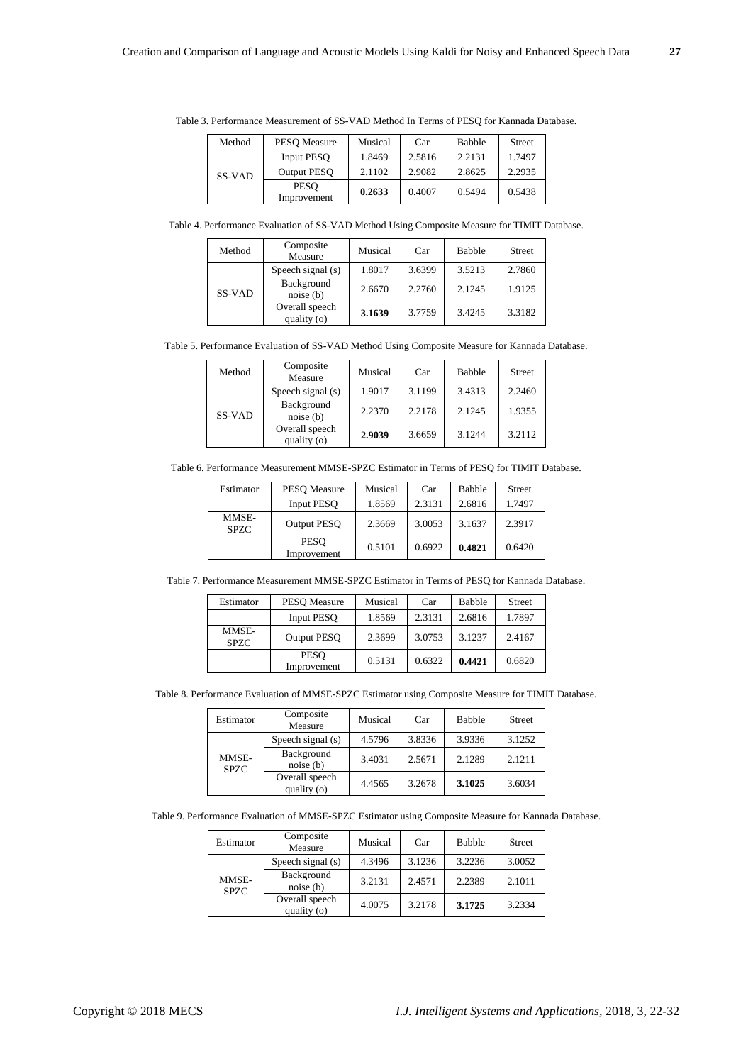| Method | PESO Measure               | Musical | Car    | Babble | <b>Street</b> |
|--------|----------------------------|---------|--------|--------|---------------|
| SS-VAD | <b>Input PESO</b>          | 1.8469  | 2.5816 | 2.2131 | 1.7497        |
|        | <b>Output PESO</b>         | 2.1102  | 2.9082 | 2.8625 | 2.2935        |
|        | <b>PESO</b><br>Improvement | 0.2633  | 0.4007 | 0.5494 | 0.5438        |

Table 3. Performance Measurement of SS-VAD Method In Terms of PESQ for Kannada Database.

Table 4. Performance Evaluation of SS-VAD Method Using Composite Measure for TIMIT Database.

| Method | Composite<br>Measure          | Musical | Car    | <b>Babble</b> | <b>Street</b> |
|--------|-------------------------------|---------|--------|---------------|---------------|
| SS-VAD | Speech signal $(s)$           | 1.8017  | 3.6399 | 3.5213        | 2.7860        |
|        | Background<br>noise(b)        | 2.6670  | 2.2760 | 2.1245        | 1.9125        |
|        | Overall speech<br>quality (o) | 3.1639  | 3.7759 | 3.4245        | 3.3182        |

Table 5. Performance Evaluation of SS-VAD Method Using Composite Measure for Kannada Database.

| Method | Composite<br>Measure          | Musical | Car    | <b>Babble</b> | <b>Street</b> |
|--------|-------------------------------|---------|--------|---------------|---------------|
| SS-VAD | Speech signal (s)             | 1.9017  | 3.1199 | 3.4313        | 2.2460        |
|        | Background<br>noise(b)        | 2.2370  | 2.2178 | 2.1245        | 1.9355        |
|        | Overall speech<br>quality (o) | 2.9039  | 3.6659 | 3.1244        | 3.2112        |

Table 6. Performance Measurement MMSE-SPZC Estimator in Terms of PESQ for TIMIT Database.

| Estimator            | <b>PESO</b> Measure        | Musical | Car    | <b>Babble</b> | <b>Street</b> |
|----------------------|----------------------------|---------|--------|---------------|---------------|
|                      | <b>Input PESO</b>          | 1.8569  | 2.3131 | 2.6816        | 1.7497        |
| MMSE-<br><b>SPZC</b> | <b>Output PESO</b>         | 2.3669  | 3.0053 | 3.1637        | 2.3917        |
|                      | <b>PESO</b><br>Improvement | 0.5101  | 0.6922 | 0.4821        | 0.6420        |

Table 7. Performance Measurement MMSE-SPZC Estimator in Terms of PESQ for Kannada Database.

| Estimator            | <b>PESO</b> Measure        | Musical | Car    | <b>Babble</b> | <b>Street</b> |
|----------------------|----------------------------|---------|--------|---------------|---------------|
|                      | <b>Input PESO</b>          | 1.8569  | 2.3131 | 2.6816        | 1.7897        |
| MMSE-<br><b>SPZC</b> | <b>Output PESO</b>         | 2.3699  | 3.0753 | 3.1237        | 2.4167        |
|                      | <b>PESO</b><br>Improvement | 0.5131  | 0.6322 | 0.4421        | 0.6820        |

Table 8. Performance Evaluation of MMSE-SPZC Estimator using Composite Measure for TIMIT Database.

| Estimator            | Composite<br>Measure          | Musical | Car    | <b>Babble</b> | <b>Street</b> |
|----------------------|-------------------------------|---------|--------|---------------|---------------|
| MMSE-<br><b>SPZC</b> | Speech signal (s)             | 4.5796  | 3.8336 | 3.9336        | 3.1252        |
|                      | Background<br>noise(b)        | 3.4031  | 2.5671 | 2.1289        | 2.1211        |
|                      | Overall speech<br>quality (o) | 4.4565  | 3.2678 | 3.1025        | 3.6034        |

|  |  |  | Table 9. Performance Evaluation of MMSE-SPZC Estimator using Composite Measure for Kannada Database. |
|--|--|--|------------------------------------------------------------------------------------------------------|
|  |  |  |                                                                                                      |

| Estimator            | Composite<br>Measure          | Musical | Car    | <b>Babble</b> | <b>Street</b> |
|----------------------|-------------------------------|---------|--------|---------------|---------------|
| MMSE-<br><b>SPZC</b> | Speech signal (s)             | 4.3496  | 3.1236 | 3.2236        | 3.0052        |
|                      | Background<br>noise(b)        | 3.2131  | 2.4571 | 2.2389        | 2.1011        |
|                      | Overall speech<br>quality (o) | 4.0075  | 3.2178 | 3.1725        | 3.2334        |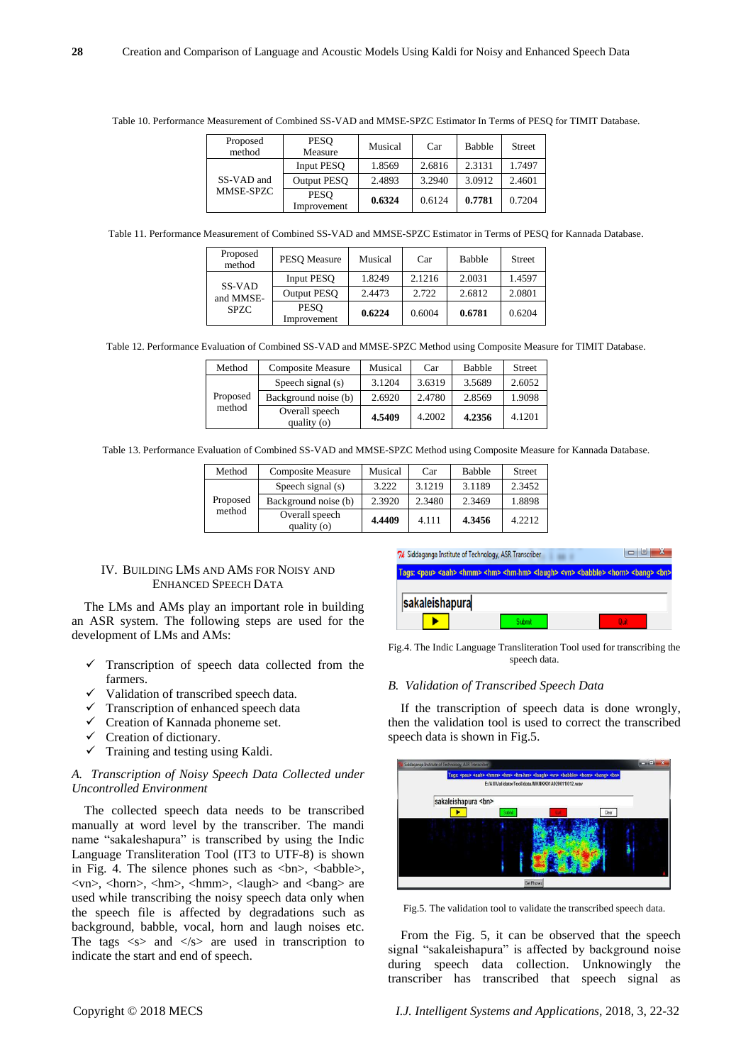| Proposed<br>method      | <b>PESO</b><br>Measure     | Musical | Car    | <b>Babble</b> | <b>Street</b> |
|-------------------------|----------------------------|---------|--------|---------------|---------------|
| SS-VAD and<br>MMSE-SPZC | <b>Input PESO</b>          | 1.8569  | 2.6816 | 2.3131        | 1.7497        |
|                         | <b>Output PESO</b>         | 2.4893  | 3.2940 | 3.0912        | 2.4601        |
|                         | <b>PESO</b><br>Improvement | 0.6324  | 0.6124 | 0.7781        | 0.7204        |

Table 10. Performance Measurement of Combined SS-VAD and MMSE-SPZC Estimator In Terms of PESQ for TIMIT Database.

Table 11. Performance Measurement of Combined SS-VAD and MMSE-SPZC Estimator in Terms of PESQ for Kannada Database.

| Proposed<br>method                 | <b>PESO</b> Measure        | Musical | Car    | <b>Babble</b> | <b>Street</b> |
|------------------------------------|----------------------------|---------|--------|---------------|---------------|
| SS-VAD<br>and MMSE-<br><b>SPZC</b> | <b>Input PESO</b>          | 1.8249  | 2.1216 | 2.0031        | 1.4597        |
|                                    | <b>Output PESO</b>         | 2.4473  | 2.722  | 2.6812        | 2.0801        |
|                                    | <b>PESO</b><br>Improvement | 0.6224  | 0.6004 | 0.6781        | 0.6204        |

Table 12. Performance Evaluation of Combined SS-VAD and MMSE-SPZC Method using Composite Measure for TIMIT Database.

| Method             | <b>Composite Measure</b>      | Musical | Car    | <b>Babble</b> | <b>Street</b> |
|--------------------|-------------------------------|---------|--------|---------------|---------------|
| Proposed<br>method | Speech signal (s)             | 3.1204  | 3.6319 | 3.5689        | 2.6052        |
|                    | Background noise (b)          | 2.6920  | 2.4780 | 2.8569        | 1.9098        |
|                    | Overall speech<br>quality (o) | 4.5409  | 4.2002 | 4.2356        | 4.1201        |

Table 13. Performance Evaluation of Combined SS-VAD and MMSE-SPZC Method using Composite Measure for Kannada Database.

| Method             | <b>Composite Measure</b>      | Musical | Car    | Babble | <b>Street</b> |
|--------------------|-------------------------------|---------|--------|--------|---------------|
| Proposed<br>method | Speech signal $(s)$           | 3.222   | 3.1219 | 3.1189 | 2.3452        |
|                    | Background noise (b)          | 2.3920  | 2.3480 | 2.3469 | 1.8898        |
|                    | Overall speech<br>quality (o) | 4.4409  | 4.111  | 4.3456 | 4.2212        |

## IV. BUILDING LMS AND AMS FOR NOISY AND ENHANCED SPEECH DATA

The LMs and AMs play an important role in building an ASR system. The following steps are used for the development of LMs and AMs:

- Transcription of speech data collected from the farmers.
- Validation of transcribed speech data.
- $\checkmark$  Transcription of enhanced speech data
- $\checkmark$  Creation of Kannada phoneme set.
- Creation of dictionary.
- $\checkmark$  Training and testing using Kaldi.

# *A. Transcription of Noisy Speech Data Collected under Uncontrolled Environment*

The collected speech data needs to be transcribed manually at word level by the transcriber. The mandi name "sakaleshapura" is transcribed by using the Indic Language Transliteration Tool (IT3 to UTF-8) is shown in Fig. 4. The silence phones such as  $\langle bn \rangle$ ,  $\langle babble \rangle$ ,  $\langle \text{v} \rangle$ ,  $\langle \text{horn} \rangle$ ,  $\langle \text{hm} \rangle$ ,  $\langle \text{hum} \rangle$ ,  $\langle \text{laugh} \rangle$  and  $\langle \text{bang} \rangle$  are used while transcribing the noisy speech data only when the speech file is affected by degradations such as background, babble, vocal, horn and laugh noises etc. The tags  $\langle s \rangle$  and  $\langle s \rangle$  are used in transcription to indicate the start and end of speech.



Fig.4. The Indic Language Transliteration Tool used for transcribing the speech data.

## *B. Validation of Transcribed Speech Data*

If the transcription of speech data is done wrongly, then the validation tool is used to correct the transcribed speech data is shown in Fig.5.



Fig.5. The validation tool to validate the transcribed speech data.

From the Fig. 5, it can be observed that the speech signal "sakaleishapura" is affected by background noise during speech data collection. Unknowingly the transcriber has transcribed that speech signal as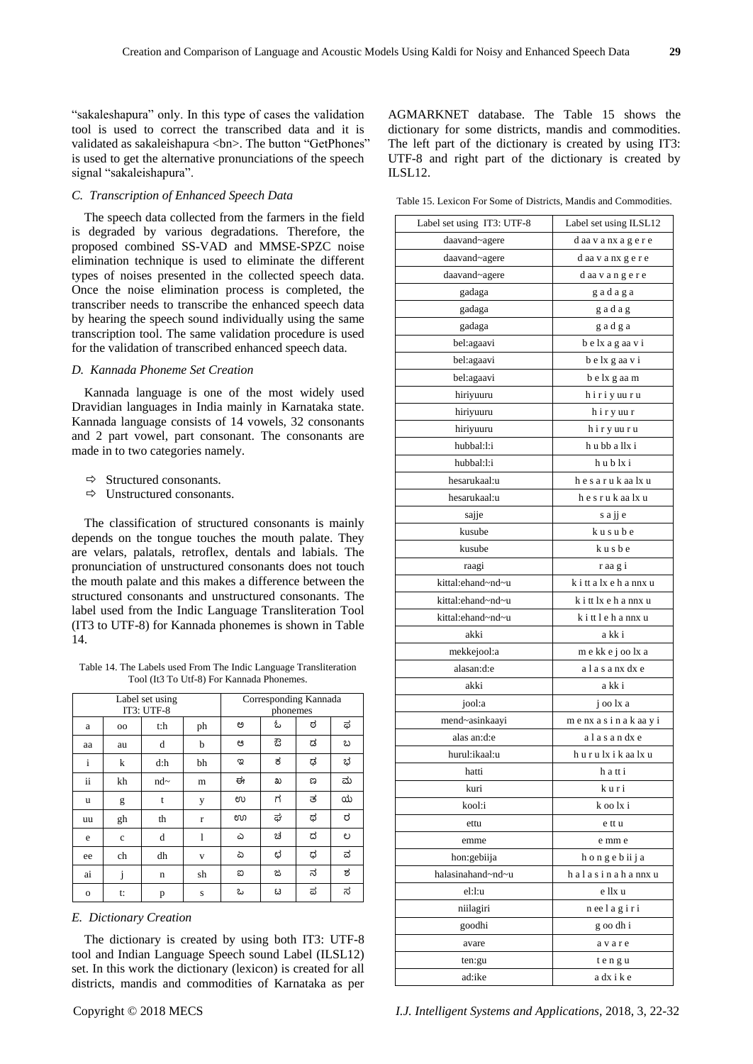"sakaleshapura" only. In this type of cases the validation tool is used to correct the transcribed data and it is validated as sakaleishapura <br/> <br/>honestimation "GetPhones" is used to get the alternative pronunciations of the speech signal "sakaleishapura".

# *C. Transcription of Enhanced Speech Data*

The speech data collected from the farmers in the field is degraded by various degradations. Therefore, the proposed combined SS-VAD and MMSE-SPZC noise elimination technique is used to eliminate the different types of noises presented in the collected speech data. Once the noise elimination process is completed, the transcriber needs to transcribe the enhanced speech data by hearing the speech sound individually using the same transcription tool. The same validation procedure is used for the validation of transcribed enhanced speech data.

# *D. Kannada Phoneme Set Creation*

Kannada language is one of the most widely used Dravidian languages in India mainly in Karnataka state. Kannada language consists of 14 vowels, 32 consonants and 2 part vowel, part consonant. The consonants are made in to two categories namely.

- $\Rightarrow$  Structured consonants.
- $\Rightarrow$  Unstructured consonants.

The classification of structured consonants is mainly depends on the tongue touches the mouth palate. They are velars, palatals, retroflex, dentals and labials. The pronunciation of unstructured consonants does not touch the mouth palate and this makes a difference between the structured consonants and unstructured consonants. The label used from the Indic Language Transliteration Tool (IT3 to UTF-8) for Kannada phonemes is shown in Table 14.

Table 14. The Labels used From The Indic Language Transliteration Tool (It3 To Utf-8) For Kannada Phonemes.

| Label set using<br>IT3: UTF-8 |              |        |    | Corresponding Kannada<br>phonemes |   |   |   |  |
|-------------------------------|--------------|--------|----|-----------------------------------|---|---|---|--|
| a                             | 00           | t:h    | ph | ಅ                                 | ఓ | ಠ | ಫ |  |
| aa                            | au           | d      | b  | ಆ                                 | ఔ | ಡ | ಬ |  |
| $\mathbf{i}$                  | k            | d:h    | bh | ಇ                                 | ಕ | ಢ | ಭ |  |
| ii                            | kh           | $nd$ ~ | m  | ಈ                                 | ಖ | ಣ | ಮ |  |
| u                             | g            | t      | y  | ಉ                                 | ಗ | ತ | ಯ |  |
| uu                            | gh           | th     | r  | ಊ                                 | ಘ | ಥ | ರ |  |
| e                             | $\mathbf{c}$ | d      | 1  | ۵                                 | ಚ | ದ | ಲ |  |
| ee                            | ch           | dh     | V  | ద                                 | ಛ | ಧ | ವ |  |
| ai                            | 1            | n      | sh | ස                                 | ಜ | ನ | ಶ |  |
| $\Omega$                      | t:           | p      | S  | ಒ                                 | ಟ | ಪ | ಸ |  |

*E. Dictionary Creation*

The dictionary is created by using both IT3: UTF-8 tool and Indian Language Speech sound Label (ILSL12) set. In this work the dictionary (lexicon) is created for all districts, mandis and commodities of Karnataka as per

AGMARKNET database. The Table 15 shows the dictionary for some districts, mandis and commodities. The left part of the dictionary is created by using IT3: UTF-8 and right part of the dictionary is created by ILSL12.

Table 15. Lexicon For Some of Districts, Mandis and Commodities.

| Label set using IT3: UTF-8 | Label set using ILSL12  |
|----------------------------|-------------------------|
| daavand~agere              | d aa v a nx a g e r e   |
| daavand~agere              | daa vanxgere            |
| daavand~agere              | daavangere              |
| gadaga                     | gadaga                  |
| gadaga                     | gadag                   |
| gadaga                     | gadga                   |
| bel:agaavi                 | b e lx a g aa v i       |
| bel:agaavi                 | belx gaa vi             |
| bel:agaavi                 | b e lx g aa m           |
| hiriyuuru                  | hiriyuuru               |
| hiriyuuru                  | hiryuur                 |
| hiriyuuru                  | hiryuuru                |
| hubbal:l:i                 | h u bb a llx i          |
| hubbal:l:i                 | hublxi                  |
| hesarukaal:u               | h e s a r u k aa lx u   |
| hesarukaal:u               | hesrukaalxu             |
| sajje                      | s a jj e                |
| kusube                     | kusube                  |
| kusube                     | kusbe                   |
| raagi                      | r aa g i                |
| kittal:ehand~nd~u          | k i tt a lx e h a nnx u |
| kittal:ehand~nd~u          | k i tt lx e h a nnx u   |
| kittal:ehand~nd~u          | kittlehannxu            |
| akki                       | a kk i                  |
| mekkejool:a                | m e kk e j oo lx a      |
| alasan:d:e                 | alasanx dx e            |
| akki                       | a kk i                  |
| jool:a                     | j oo lx a               |
| mend~asinkaayi             | menxasinakaayi          |
| alas an:d:e                | alasandxe               |
| hurul:ikaal:u              | hurulxikaalxu           |
| hatti                      | h a tt i                |
| kuri                       | kuri                    |
| kool:i                     | k oo lx i               |
| ettu                       | e tt u                  |
| emme                       | e mm e                  |
| hon:gebiija                | hongebiija              |
| halasinahand~nd~u          | halasinahannxu          |
| el:l:u                     | e llx u                 |
| niilagiri                  | neelagiri               |
| goodhi                     | g oo dh i               |
| avare                      | avare                   |
| ten:gu                     | t e n g u               |
| ad:ike                     | adxike                  |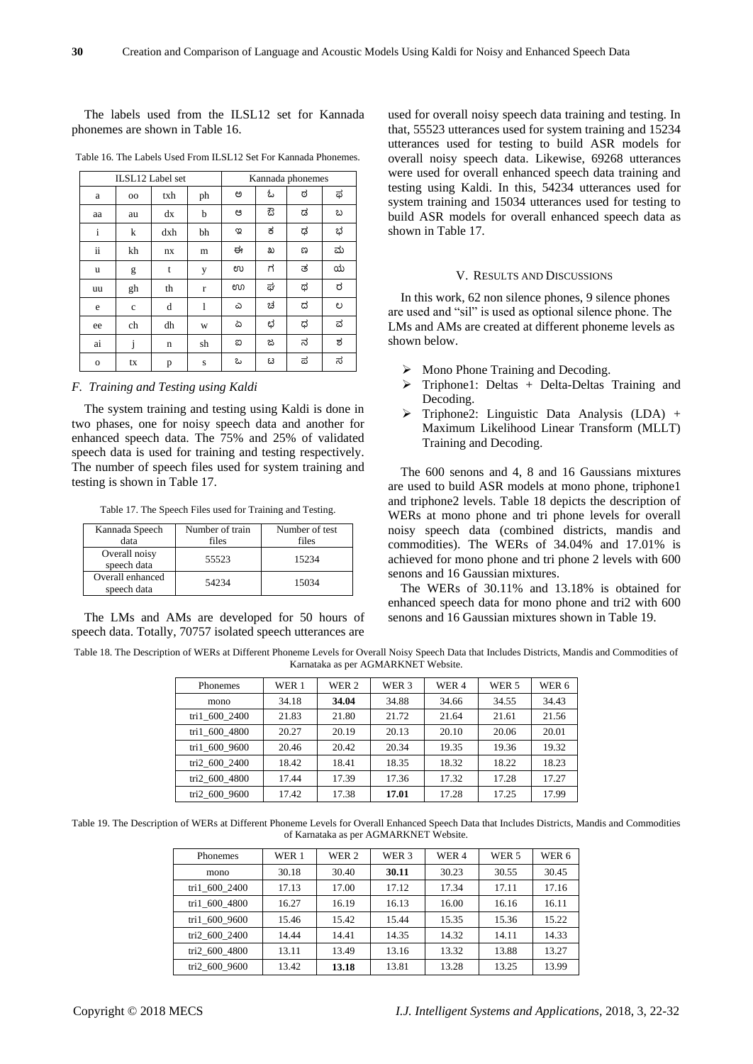The labels used from the ILSL12 set for Kannada phonemes are shown in Table 16.

| ILSL12 Label set |             |     | Kannada phonemes |   |   |   |   |
|------------------|-------------|-----|------------------|---|---|---|---|
| a                | $_{\rm oo}$ | txh | ph               | ಅ | ఓ | ಠ | ಥ |
| aa               | au          | dx  | b                | ಆ | ස | ಡ | ಬ |
| $\mathbf{i}$     | k           | dxh | bh               | ಇ | ಕ | ಢ | ಭ |
| ii               | kh          | nx  | m                | ಈ | ಖ | ಣ | ಮ |
| u                | g           | t   | у                | ಉ | ಗ | ತ | ಯ |
| uu               | gh          | th  | r                | ಊ | ಘ | ಥ | ರ |
| e                | c           | d   | 1                | ۵ | ಚ | ದ | ಲ |
| ee               | ch          | dh  | W                | చ | ಛ | ಧ | ವ |
| ai               | j           | n   | sh               | ಐ | ಜ | ನ | ಶ |
| $\mathbf{o}$     | tx          | p   | S                | ಒ | ಟ | ಪ | ಸ |

Table 16. The Labels Used From ILSL12 Set For Kannada Phonemes.

*F. Training and Testing using Kaldi*

The system training and testing using Kaldi is done in two phases, one for noisy speech data and another for enhanced speech data. The 75% and 25% of validated speech data is used for training and testing respectively. The number of speech files used for system training and testing is shown in Table 17.

Table 17. The Speech Files used for Training and Testing.

| Kannada Speech                  | Number of train | Number of test |
|---------------------------------|-----------------|----------------|
| data                            | files           | files          |
| Overall noisy<br>speech data    | 55523           | 15234          |
| Overall enhanced<br>speech data | 54234           | 15034          |

The LMs and AMs are developed for 50 hours of speech data. Totally, 70757 isolated speech utterances are

used for overall noisy speech data training and testing. In that, 55523 utterances used for system training and 15234 utterances used for testing to build ASR models for overall noisy speech data. Likewise, 69268 utterances were used for overall enhanced speech data training and testing using Kaldi. In this, 54234 utterances used for system training and 15034 utterances used for testing to build ASR models for overall enhanced speech data as shown in Table 17.

### V. RESULTS AND DISCUSSIONS

In this work, 62 non silence phones, 9 silence phones are used and "sil" is used as optional silence phone. The LMs and AMs are created at different phoneme levels as shown below.

- $\triangleright$  Mono Phone Training and Decoding.
- $\triangleright$  Triphone1: Deltas + Delta-Deltas Training and Decoding.
- $\triangleright$  Triphone2: Linguistic Data Analysis (LDA) + Maximum Likelihood Linear Transform (MLLT) Training and Decoding.

The 600 senons and 4, 8 and 16 Gaussians mixtures are used to build ASR models at mono phone, triphone1 and triphone2 levels. Table 18 depicts the description of WERs at mono phone and tri phone levels for overall noisy speech data (combined districts, mandis and commodities). The WERs of 34.04% and 17.01% is achieved for mono phone and tri phone 2 levels with 600 senons and 16 Gaussian mixtures.

The WERs of 30.11% and 13.18% is obtained for enhanced speech data for mono phone and tri2 with 600 senons and 16 Gaussian mixtures shown in Table 19.

Table 18. The Description of WERs at Different Phoneme Levels for Overall Noisy Speech Data that Includes Districts, Mandis and Commodities of Karnataka as per AGMARKNET Website.

| Phonemes      | WER 1 | WER 2 | WER 3 | WER 4 | WER 5 | WER 6 |
|---------------|-------|-------|-------|-------|-------|-------|
| mono          | 34.18 | 34.04 | 34.88 | 34.66 | 34.55 | 34.43 |
| tri1 600 2400 | 21.83 | 21.80 | 21.72 | 21.64 | 21.61 | 21.56 |
| tri1 600 4800 | 20.27 | 20.19 | 20.13 | 20.10 | 20.06 | 20.01 |
| tri1 600 9600 | 20.46 | 20.42 | 20.34 | 19.35 | 19.36 | 19.32 |
| tri2 600 2400 | 18.42 | 18.41 | 18.35 | 18.32 | 18.22 | 18.23 |
| tri2 600 4800 | 17.44 | 17.39 | 17.36 | 17.32 | 17.28 | 17.27 |
| tri2 600 9600 | 17.42 | 17.38 | 17.01 | 17.28 | 17.25 | 17.99 |

Table 19. The Description of WERs at Different Phoneme Levels for Overall Enhanced Speech Data that Includes Districts, Mandis and Commodities of Karnataka as per AGMARKNET Website.

| Phonemes      | WER 1 | WER 2 | WER 3 | WER 4 | WER <sub>5</sub> | WER 6 |
|---------------|-------|-------|-------|-------|------------------|-------|
| mono          | 30.18 | 30.40 | 30.11 | 30.23 | 30.55            | 30.45 |
| tri1 600 2400 | 17.13 | 17.00 | 17.12 | 17.34 | 17.11            | 17.16 |
| tri1 600 4800 | 16.27 | 16.19 | 16.13 | 16.00 | 16.16            | 16.11 |
| tri1 600 9600 | 15.46 | 15.42 | 15.44 | 15.35 | 15.36            | 15.22 |
| tri2 600 2400 | 14.44 | 14.41 | 14.35 | 14.32 | 14.11            | 14.33 |
| tri2 600 4800 | 13.11 | 13.49 | 13.16 | 13.32 | 13.88            | 13.27 |
| tri2 600 9600 | 13.42 | 13.18 | 13.81 | 13.28 | 13.25            | 13.99 |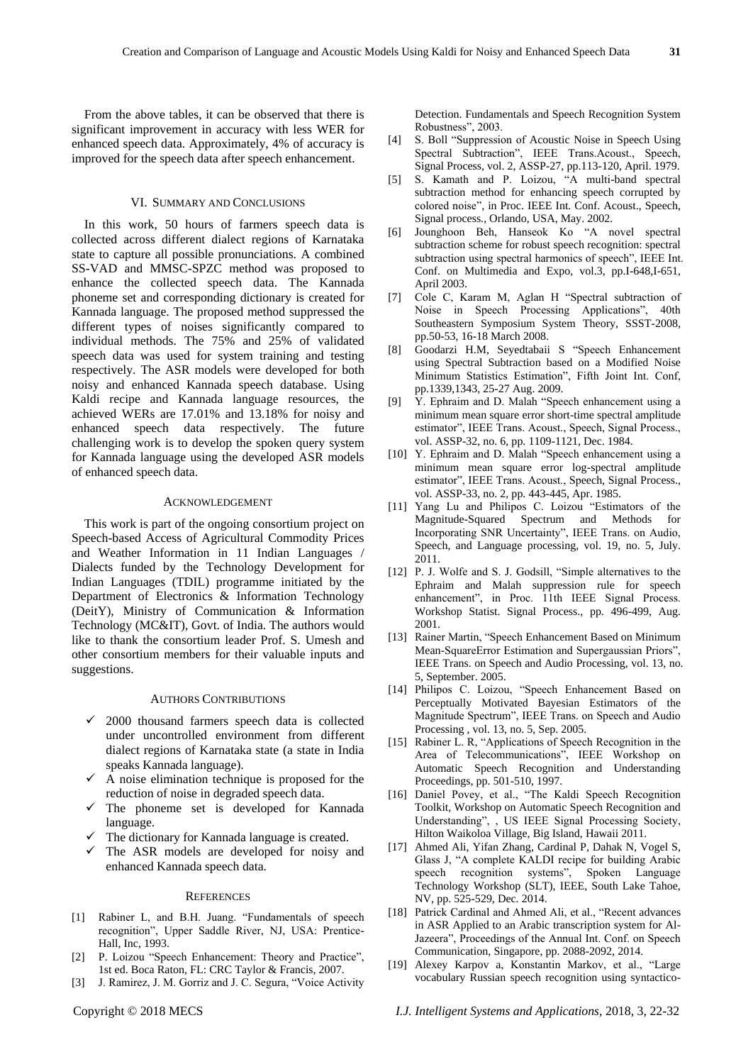From the above tables, it can be observed that there is significant improvement in accuracy with less WER for enhanced speech data. Approximately, 4% of accuracy is improved for the speech data after speech enhancement.

## VI. SUMMARY AND CONCLUSIONS

In this work, 50 hours of farmers speech data is collected across different dialect regions of Karnataka state to capture all possible pronunciations. A combined SS-VAD and MMSC-SPZC method was proposed to enhance the collected speech data. The Kannada phoneme set and corresponding dictionary is created for Kannada language. The proposed method suppressed the different types of noises significantly compared to individual methods. The 75% and 25% of validated speech data was used for system training and testing respectively. The ASR models were developed for both noisy and enhanced Kannada speech database. Using Kaldi recipe and Kannada language resources, the achieved WERs are 17.01% and 13.18% for noisy and enhanced speech data respectively. The future challenging work is to develop the spoken query system for Kannada language using the developed ASR models of enhanced speech data.

#### ACKNOWLEDGEMENT

This work is part of the ongoing consortium project on Speech-based Access of Agricultural Commodity Prices and Weather Information in 11 Indian Languages / Dialects funded by the Technology Development for Indian Languages (TDIL) programme initiated by the Department of Electronics & Information Technology (DeitY), Ministry of Communication & Information Technology (MC&IT), Govt. of India. The authors would like to thank the consortium leader Prof. S. Umesh and other consortium members for their valuable inputs and suggestions.

#### AUTHORS CONTRIBUTIONS

- 2000 thousand farmers speech data is collected under uncontrolled environment from different dialect regions of Karnataka state (a state in India speaks Kannada language).
- $\checkmark$  A noise elimination technique is proposed for the reduction of noise in degraded speech data.
- $\checkmark$  The phoneme set is developed for Kannada language.
- The dictionary for Kannada language is created.
- $\checkmark$  The ASR models are developed for noisy and enhanced Kannada speech data.

#### **REFERENCES**

- [1] Rabiner L, and B.H. Juang. "Fundamentals of speech recognition", Upper Saddle River, NJ, USA: Prentice-Hall, Inc, 1993.
- [2] P. Loizou "Speech Enhancement: Theory and Practice", 1st ed. Boca Raton, FL: CRC Taylor & Francis, 2007.
- [3] J. Ramirez, J. M. Gorriz and J. C. Segura, "Voice Activity

Detection. Fundamentals and Speech Recognition System Robustness", 2003.

- [4] S. Boll "Suppression of Acoustic Noise in Speech Using Spectral Subtraction", IEEE Trans.Acoust., Speech, Signal Process, vol. 2, ASSP-27, pp.113-120, April. 1979.
- [5] S. Kamath and P. Loizou, "A multi-band spectral subtraction method for enhancing speech corrupted by colored noise", in Proc. IEEE Int. Conf. Acoust., Speech, Signal process., Orlando, USA, May. 2002.
- [6] Jounghoon Beh, Hanseok Ko "A novel spectral subtraction scheme for robust speech recognition: spectral subtraction using spectral harmonics of speech", IEEE Int. Conf. on Multimedia and Expo, vol.3, pp.I-648,I-651, April 2003.
- [7] Cole C, Karam M, Aglan H "Spectral subtraction of Noise in Speech Processing Applications", 40th Southeastern Symposium System Theory, SSST-2008, pp.50-53, 16-18 March 2008.
- [8] Goodarzi H.M, Seyedtabaii S "Speech Enhancement using Spectral Subtraction based on a Modified Noise Minimum Statistics Estimation", Fifth Joint Int. Conf, pp.1339,1343, 25-27 Aug. 2009.
- [9] Y. Ephraim and D. Malah "Speech enhancement using a minimum mean square error short-time spectral amplitude estimator", IEEE Trans. Acoust., Speech, Signal Process., vol. ASSP-32, no. 6, pp. 1109-1121, Dec. 1984.
- [10] Y. Ephraim and D. Malah "Speech enhancement using a minimum mean square error log-spectral amplitude estimator", IEEE Trans. Acoust., Speech, Signal Process., vol. ASSP-33, no. 2, pp. 443-445, Apr. 1985.
- [11] Yang Lu and Philipos C. Loizou "Estimators of the Magnitude-Squared Spectrum and Methods for Incorporating SNR Uncertainty", IEEE Trans. on Audio, Speech, and Language processing, vol. 19, no. 5, July. 2011.
- [12] P. J. Wolfe and S. J. Godsill, "Simple alternatives to the Ephraim and Malah suppression rule for speech enhancement", in Proc. 11th IEEE Signal Process. Workshop Statist. Signal Process., pp. 496-499, Aug. 2001.
- [13] Rainer Martin, "Speech Enhancement Based on Minimum Mean-SquareError Estimation and Supergaussian Priors", IEEE Trans. on Speech and Audio Processing, vol. 13, no. 5, September. 2005.
- [14] Philipos C. Loizou, "Speech Enhancement Based on Perceptually Motivated Bayesian Estimators of the Magnitude Spectrum", IEEE Trans. on Speech and Audio Processing , vol. 13, no. 5, Sep. 2005.
- [15] Rabiner L. R, "Applications of Speech Recognition in the Area of Telecommunications", IEEE Workshop on Automatic Speech Recognition and Understanding Proceedings, pp. 501-510, 1997.
- [16] Daniel Povey, et al., "The Kaldi Speech Recognition Toolkit, Workshop on Automatic Speech Recognition and Understanding", , US IEEE Signal Processing Society, Hilton Waikoloa Village, Big Island, Hawaii 2011.
- [17] Ahmed Ali, Yifan Zhang, Cardinal P, Dahak N, Vogel S, Glass J, "A complete KALDI recipe for building Arabic speech recognition systems", Spoken Language Technology Workshop (SLT), IEEE, South Lake Tahoe, NV, pp. 525-529, Dec. 2014.
- [18] Patrick Cardinal and Ahmed Ali, et al., "Recent advances in ASR Applied to an Arabic transcription system for Al-Jazeera", Proceedings of the Annual Int. Conf. on Speech Communication, Singapore, pp. 2088-2092, 2014.
- [19] Alexey Karpov a, Konstantin Markov, et al., "Large vocabulary Russian speech recognition using syntactico-